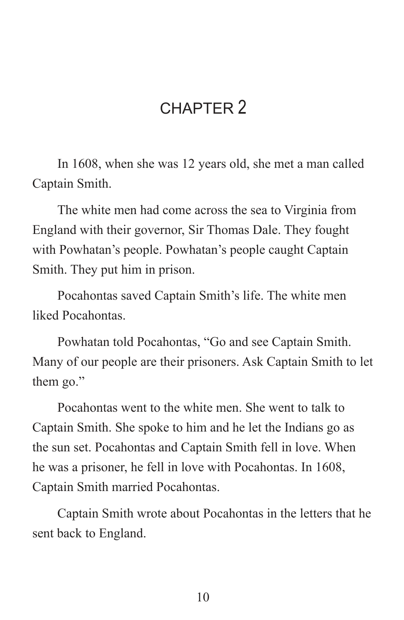## CHAPTER<sub>2</sub>

In 1608, when she was 12 years old, she met a man called Captain Smith.

The white men had come across the sea to Virginia from England with their governor, Sir Thomas Dale. They fought with Powhatan's people. Powhatan's people caught Captain Smith. They put him in prison.

Pocahontas saved Captain Smith's life. The white men liked Pocahontas.

Powhatan told Pocahontas, "Go and see Captain Smith. Many of our people are their prisoners. Ask Captain Smith to let them go."

Pocahontas went to the white men. She went to talk to Captain Smith. She spoke to him and he let the Indians go as the sun set. Pocahontas and Captain Smith fell in love. When he was a prisoner, he fell in love with Pocahontas. In 1608, Captain Smith married Pocahontas.

Captain Smith wrote about Pocahontas in the letters that he sent back to England.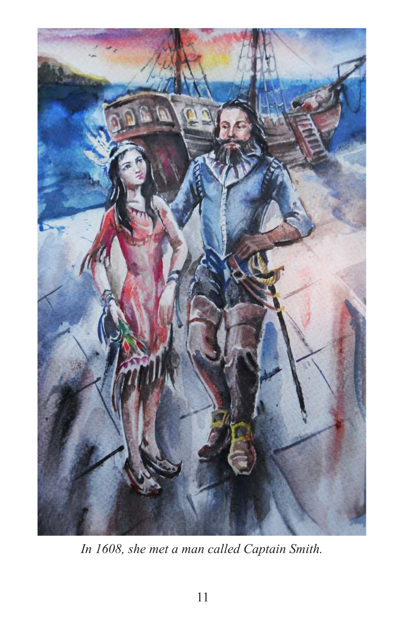

*In 1608, she met a man called Captain Smith.*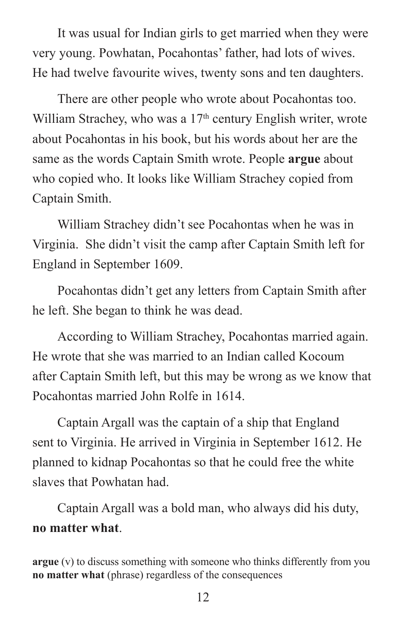It was usual for Indian girls to get married when they were very young. Powhatan, Pocahontas' father, had lots of wives. He had twelve favourite wives, twenty sons and ten daughters.

There are other people who wrote about Pocahontas too. William Strachey, who was a  $17<sup>th</sup>$  century English writer, wrote about Pocahontas in his book, but his words about her are the same as the words Captain Smith wrote. People **argue** about who copied who. It looks like William Strachey copied from Captain Smith.

William Strachey didn't see Pocahontas when he was in Virginia. She didn't visit the camp after Captain Smith left for England in September 1609.

Pocahontas didn't get any letters from Captain Smith after he left. She began to think he was dead.

According to William Strachey, Pocahontas married again. He wrote that she was married to an Indian called Kocoum after Captain Smith left, but this may be wrong as we know that Pocahontas married John Rolfe in 1614.

Captain Argall was the captain of a ship that England sent to Virginia. He arrived in Virginia in September 1612. He planned to kidnap Pocahontas so that he could free the white slaves that Powhatan had.

Captain Argall was a bold man, who always did his duty, **no matter what**.

**argue** (v) to discuss something with someone who thinks differently from you **no matter what** (phrase) regardless of the consequences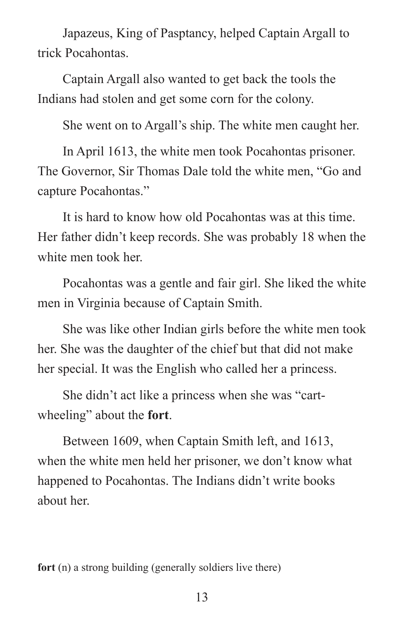Japazeus, King of Pasptancy, helped Captain Argall to trick Pocahontas.

Captain Argall also wanted to get back the tools the Indians had stolen and get some corn for the colony.

She went on to Argall's ship. The white men caught her.

In April 1613, the white men took Pocahontas prisoner. The Governor, Sir Thomas Dale told the white men, "Go and capture Pocahontas."

It is hard to know how old Pocahontas was at this time. Her father didn't keep records. She was probably 18 when the white men took her.

Pocahontas was a gentle and fair girl. She liked the white men in Virginia because of Captain Smith.

She was like other Indian girls before the white men took her. She was the daughter of the chief but that did not make her special. It was the English who called her a princess.

She didn't act like a princess when she was "cartwheeling" about the **fort**.

Between 1609, when Captain Smith left, and 1613, when the white men held her prisoner, we don't know what happened to Pocahontas. The Indians didn't write books about her.

**fort** (n) a strong building (generally soldiers live there)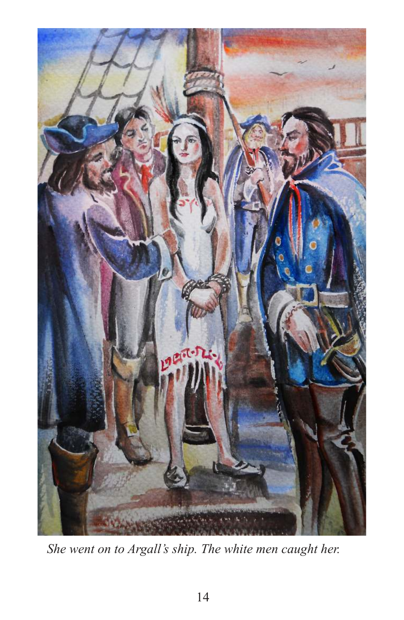

*She went on to Argall's ship. The white men caught her.*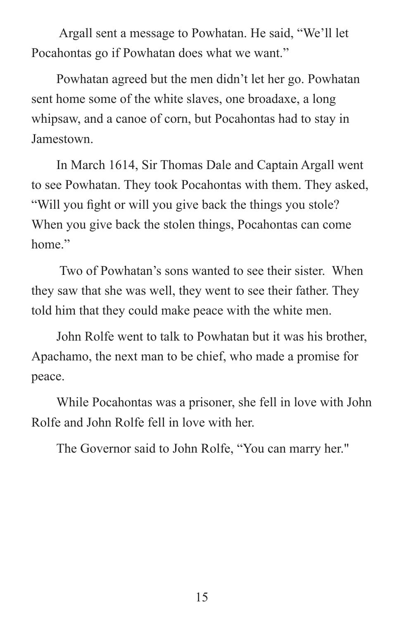Argall sent a message to Powhatan. He said, "We'll let Pocahontas go if Powhatan does what we want."

Powhatan agreed but the men didn't let her go. Powhatan sent home some of the white slaves, one broadaxe, a long whipsaw, and a canoe of corn, but Pocahontas had to stay in Jamestown.

In March 1614, Sir Thomas Dale and Captain Argall went to see Powhatan. They took Pocahontas with them. They asked, "Will you fight or will you give back the things you stole? When you give back the stolen things, Pocahontas can come home"

 Two of Powhatan's sons wanted to see their sister. When they saw that she was well, they went to see their father. They told him that they could make peace with the white men.

John Rolfe went to talk to Powhatan but it was his brother, Apachamo, the next man to be chief, who made a promise for peace.

While Pocahontas was a prisoner, she fell in love with John Rolfe and John Rolfe fell in love with her.

The Governor said to John Rolfe, "You can marry her."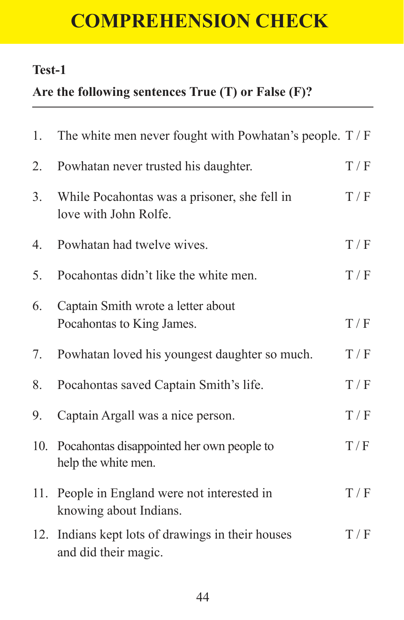# **COMPREHENSION CHECK**

#### **Test-1**

## **Are the following sentences True (T) or False (F)?**

| 1.               | The white men never fought with Powhatan's people. $T / F$                |     |
|------------------|---------------------------------------------------------------------------|-----|
| 2.               | Powhatan never trusted his daughter.                                      | T/F |
| 3.               | While Pocahontas was a prisoner, she fell in<br>love with John Rolfe.     | T/F |
| $\overline{4}$ . | Powhatan had twelve wives.                                                | T/F |
| 5.               | Pocahontas didn't like the white men.                                     | T/F |
| 6.               | Captain Smith wrote a letter about<br>Pocahontas to King James.           | T/F |
| 7.               | Powhatan loved his youngest daughter so much.                             | T/F |
| 8.               | Pocahontas saved Captain Smith's life.                                    | T/F |
| 9.               | Captain Argall was a nice person.                                         | T/F |
| 10.              | Pocahontas disappointed her own people to<br>help the white men.          | T/F |
| 11.              | People in England were not interested in<br>knowing about Indians.        | T/F |
|                  | 12. Indians kept lots of drawings in their houses<br>and did their magic. | T/F |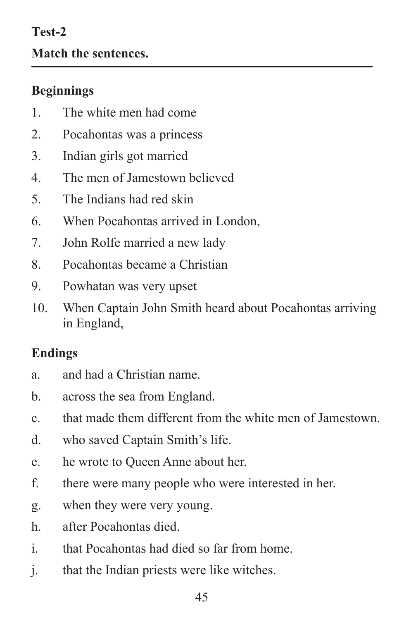# **Test-2 Match the sentences.**

## **Beginnings**

- 1. The white men had come
- 2. Pocahontas was a princess
- 3. Indian girls got married
- 4. The men of Jamestown believed
- 5. The Indians had red skin
- 6. When Pocahontas arrived in London,
- 7. John Rolfe married a new lady
- 8. Pocahontas became a Christian
- 9. Powhatan was very upset
- 10. When Captain John Smith heard about Pocahontas arriving in England,

#### **Endings**

- a. and had a Christian name.
- b. across the sea from England.
- c. that made them different from the white men of Jamestown.
- d. who saved Captain Smith's life.
- e. he wrote to Queen Anne about her.
- f. there were many people who were interested in her.
- g. when they were very young.
- h. after Pocahontas died.
- i. that Pocahontas had died so far from home.
- j. that the Indian priests were like witches.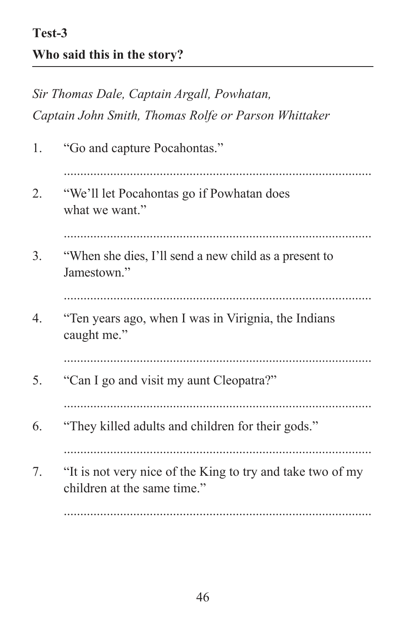*Sir Thomas Dale, Captain Argall, Powhatan, Captain John Smith, Thomas Rolfe or Parson Whittaker*  1. "Go and capture Pocahontas." ............................................................................................. 2. "We'll let Pocahontas go if Powhatan does what we want." ............................................................................................. 3. "When she dies, I'll send a new child as a present to Jamestown" ............................................................................................. 4. "Ten years ago, when I was in Virignia, the Indians caught me." ............................................................................................. 5. "Can I go and visit my aunt Cleopatra?" ............................................................................................. 6. "They killed adults and children for their gods." ............................................................................................. 7. "It is not very nice of the King to try and take two of my children at the same time." .............................................................................................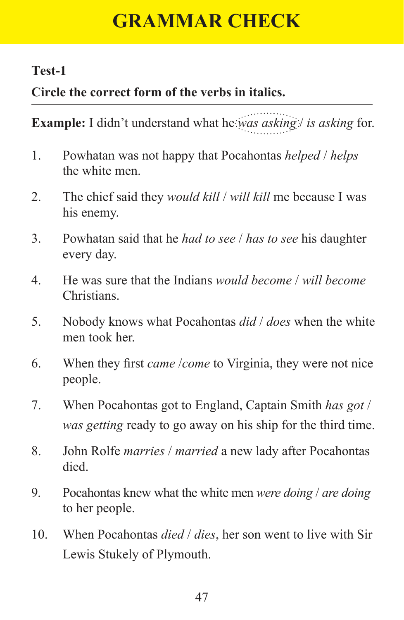# **GRAMMAR CHECK**

#### **Test-1**

## **Circle the correct form of the verbs in italics.**

**Example:** I didn't understand what he *was asking* / *is asking* for.

- 1. Powhatan was not happy that Pocahontas *helped* / *helps* the white men.
- 2. The chief said they *would kill* / *will kill* me because I was his enemy.
- 3. Powhatan said that he *had to see* / *has to see* his daughter every day.
- 4. He was sure that the Indians *would become* / *will become*  Christians.
- 5. Nobody knows what Pocahontas *did* / *does* when the white men took her
- 6. When they first *came* /*come* to Virginia, they were not nice people.
- 7. When Pocahontas got to England, Captain Smith *has got* / *was getting* ready to go away on his ship for the third time.
- 8. John Rolfe *marries* / *married* a new lady after Pocahontas died.
- 9. Pocahontas knew what the white men *were doing* / *are doing* to her people.
- 10. When Pocahontas *died* / *dies*, her son went to live with Sir Lewis Stukely of Plymouth.